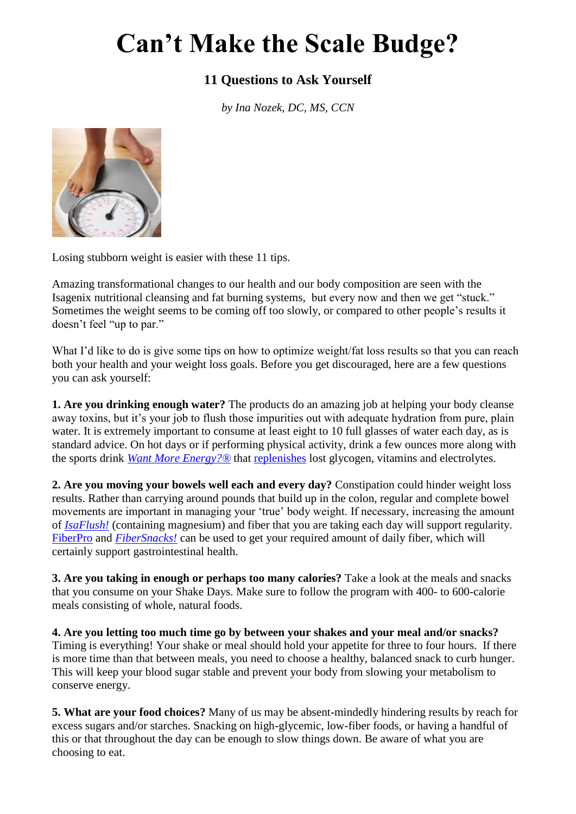## **Can't Make the Scale Budge?**

## **11 Questions to Ask Yourself**

*by Ina Nozek, DC, MS, CCN*



Losing stubborn weight is easier with these 11 tips.

Amazing transformational changes to our health and our body composition are seen with the Isagenix nutritional cleansing and fat burning systems, but every now and then we get "stuck." Sometimes the weight seems to be coming off too slowly, or compared to other people's results it doesn't feel "up to par."

What I'd like to do is give some tips on how to optimize weight/fat loss results so that you can reach both your health and your weight loss goals. Before you get discouraged, here are a few questions you can ask yourself:

**1. Are you drinking enough water?** The products do an amazing job at helping your body cleanse away toxins, but it's your job to flush those impurities out with adequate hydration from pure, plain water. It is extremely important to consume at least eight to 10 full glasses of water each day, as is standard advice. On hot days or if performing physical activity, drink a few ounces more along with the sports drink *[Want More Energy?®](http://www.isagenix.com/us/en/wantmoreenergy.dhtml)* that [replenishes](http://www.isagenixhealth.net/blog/2011/07/28/the-right-sports-drink-for-exercise/) lost glycogen, vitamins and electrolytes.

**2. Are you moving your bowels well each and every day?** Constipation could hinder weight loss results. Rather than carrying around pounds that build up in the colon, regular and complete bowel movements are important in managing your 'true' body weight. If necessary, increasing the amount of *[IsaFlush!](http://www.isagenix.com/us/en/isaflush.dhtml)* (containing magnesium) and fiber that you are taking each day will support regularity. [FiberPro](http://www.isagenix.com/us/en/fiberpro.html) and *[FiberSnacks!](http://www.isagenix.com/us/en/fibersnacks.dhtml)* can be used to get your required amount of daily fiber, which will certainly support gastrointestinal health.

**3. Are you taking in enough or perhaps too many calories?** Take a look at the meals and snacks that you consume on your Shake Days. Make sure to follow the program with 400- to 600-calorie meals consisting of whole, natural foods.

**4. Are you letting too much time go by between your shakes and your meal and/or snacks?** Timing is everything! Your shake or meal should hold your appetite for three to four hours. If there is more time than that between meals, you need to choose a healthy, balanced snack to curb hunger. This will keep your blood sugar stable and prevent your body from slowing your metabolism to conserve energy.

**5. What are your food choices?** Many of us may be absent-mindedly hindering results by reach for excess sugars and/or starches. Snacking on high-glycemic, low-fiber foods, or having a handful of this or that throughout the day can be enough to slow things down. Be aware of what you are choosing to eat.